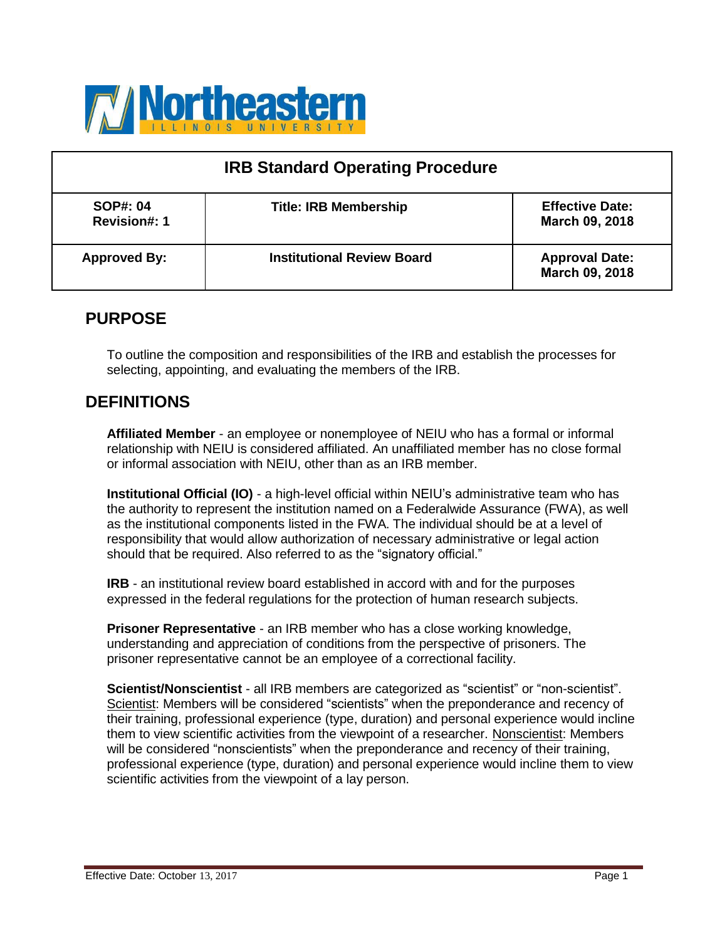

| <b>IRB Standard Operating Procedure</b> |                                   |                                          |
|-----------------------------------------|-----------------------------------|------------------------------------------|
| <b>SOP#: 04</b><br><b>Revision#: 1</b>  | <b>Title: IRB Membership</b>      | <b>Effective Date:</b><br>March 09, 2018 |
| <b>Approved By:</b>                     | <b>Institutional Review Board</b> | <b>Approval Date:</b><br>March 09, 2018  |

## **PURPOSE**

To outline the composition and responsibilities of the IRB and establish the processes for selecting, appointing, and evaluating the members of the IRB.

## **DEFINITIONS**

**Affiliated Member** - an employee or nonemployee of NEIU who has a formal or informal relationship with NEIU is considered affiliated. An unaffiliated member has no close formal or informal association with NEIU, other than as an IRB member.

**Institutional Official (IO)** - a high-level official within NEIU's administrative team who has the authority to represent the institution named on a Federalwide Assurance (FWA), as well as the institutional components listed in the FWA. The individual should be at a level of responsibility that would allow authorization of necessary administrative or legal action should that be required. Also referred to as the "signatory official."

**IRB** - an institutional review board established in accord with and for the purposes expressed in the federal regulations for the protection of human research subjects.

**Prisoner Representative** - an IRB member who has a close working knowledge, understanding and appreciation of conditions from the perspective of prisoners. The prisoner representative cannot be an employee of a correctional facility.

**Scientist/Nonscientist** - all IRB members are categorized as "scientist" or "non-scientist". Scientist: Members will be considered "scientists" when the preponderance and recency of their training, professional experience (type, duration) and personal experience would incline them to view scientific activities from the viewpoint of a researcher. Nonscientist: Members will be considered "nonscientists" when the preponderance and recency of their training, professional experience (type, duration) and personal experience would incline them to view scientific activities from the viewpoint of a lay person.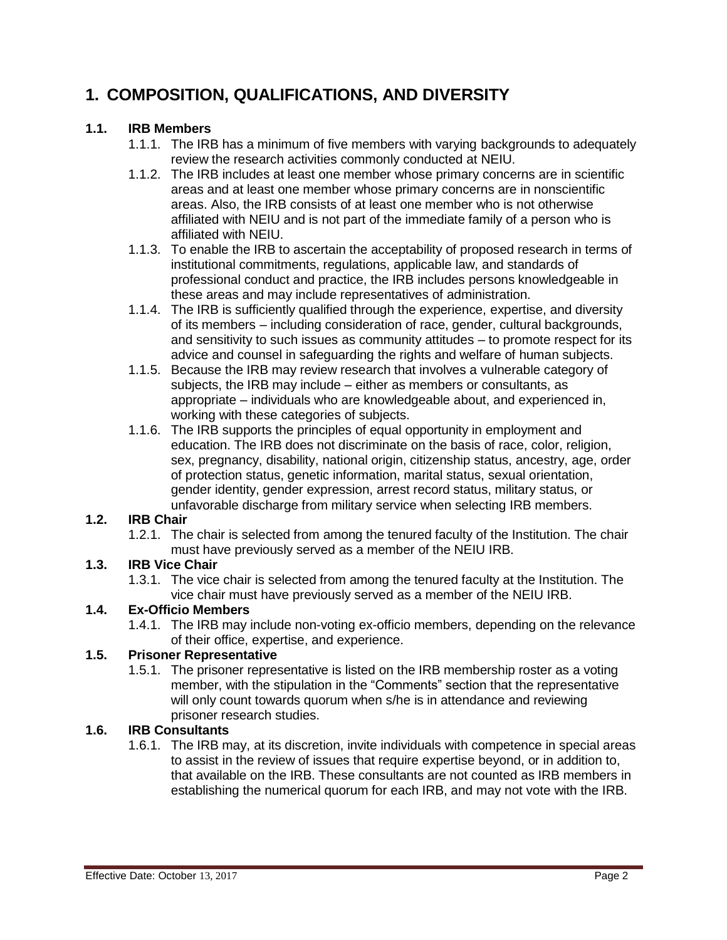# **1. COMPOSITION, QUALIFICATIONS, AND DIVERSITY**

#### **1.1. IRB Members**

- 1.1.1. The IRB has a minimum of five members with varying backgrounds to adequately review the research activities commonly conducted at NEIU.
- 1.1.2. The IRB includes at least one member whose primary concerns are in scientific areas and at least one member whose primary concerns are in nonscientific areas. Also, the IRB consists of at least one member who is not otherwise affiliated with NEIU and is not part of the immediate family of a person who is affiliated with NEIU.
- 1.1.3. To enable the IRB to ascertain the acceptability of proposed research in terms of institutional commitments, regulations, applicable law, and standards of professional conduct and practice, the IRB includes persons knowledgeable in these areas and may include representatives of administration.
- 1.1.4. The IRB is sufficiently qualified through the experience, expertise, and diversity of its members – including consideration of race, gender, cultural backgrounds, and sensitivity to such issues as community attitudes – to promote respect for its advice and counsel in safeguarding the rights and welfare of human subjects.
- 1.1.5. Because the IRB may review research that involves a vulnerable category of subjects, the IRB may include – either as members or consultants, as appropriate – individuals who are knowledgeable about, and experienced in, working with these categories of subjects.
- 1.1.6. The IRB supports the principles of equal opportunity in employment and education. The IRB does not discriminate on the basis of race, color, religion, sex, pregnancy, disability, national origin, citizenship status, ancestry, age, order of protection status, genetic information, marital status, sexual orientation, gender identity, gender expression, arrest record status, military status, or unfavorable discharge from military service when selecting IRB members.

#### **1.2. IRB Chair**

1.2.1. The chair is selected from among the tenured faculty of the Institution. The chair must have previously served as a member of the NEIU IRB.

### **1.3. IRB Vice Chair**

1.3.1. The vice chair is selected from among the tenured faculty at the Institution. The vice chair must have previously served as a member of the NEIU IRB.

### **1.4. Ex-Officio Members**

1.4.1. The IRB may include non-voting ex-officio members, depending on the relevance of their office, expertise, and experience.

### **1.5. Prisoner Representative**

1.5.1. The prisoner representative is listed on the IRB membership roster as a voting member, with the stipulation in the "Comments" section that the representative will only count towards quorum when s/he is in attendance and reviewing prisoner research studies.

### **1.6. IRB Consultants**

1.6.1. The IRB may, at its discretion, invite individuals with competence in special areas to assist in the review of issues that require expertise beyond, or in addition to, that available on the IRB. These consultants are not counted as IRB members in establishing the numerical quorum for each IRB, and may not vote with the IRB.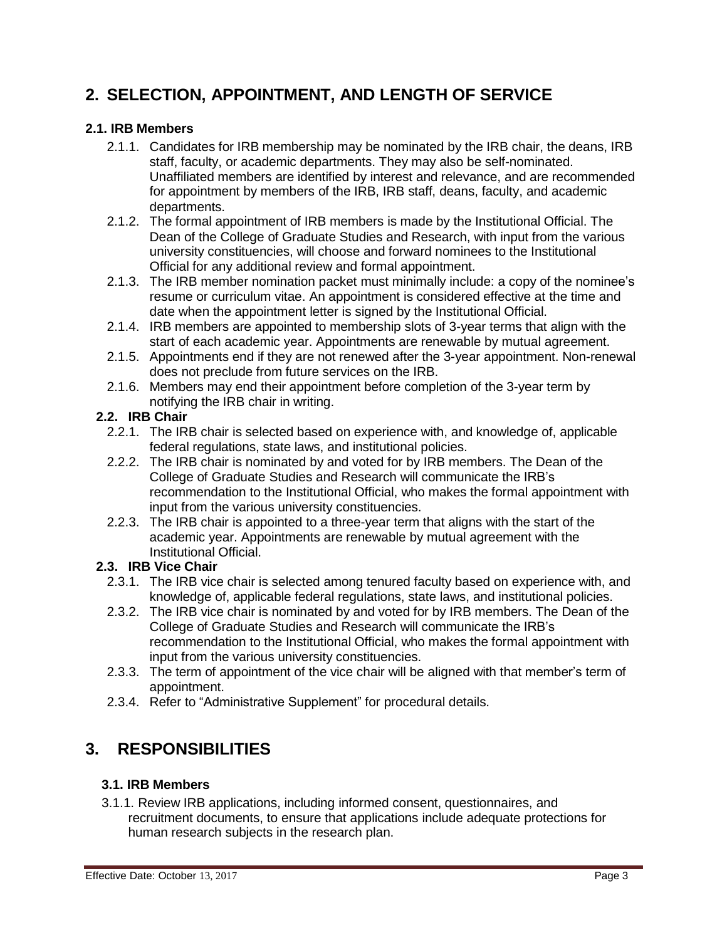# **2. SELECTION, APPOINTMENT, AND LENGTH OF SERVICE**

#### **2.1. IRB Members**

- 2.1.1. Candidates for IRB membership may be nominated by the IRB chair, the deans, IRB staff, faculty, or academic departments. They may also be self-nominated. Unaffiliated members are identified by interest and relevance, and are recommended for appointment by members of the IRB, IRB staff, deans, faculty, and academic departments.
- 2.1.2. The formal appointment of IRB members is made by the Institutional Official. The Dean of the College of Graduate Studies and Research, with input from the various university constituencies, will choose and forward nominees to the Institutional Official for any additional review and formal appointment.
- 2.1.3. The IRB member nomination packet must minimally include: a copy of the nominee's resume or curriculum vitae. An appointment is considered effective at the time and date when the appointment letter is signed by the Institutional Official.
- 2.1.4. IRB members are appointed to membership slots of 3-year terms that align with the start of each academic year. Appointments are renewable by mutual agreement.
- 2.1.5. Appointments end if they are not renewed after the 3-year appointment. Non-renewal does not preclude from future services on the IRB.
- 2.1.6. Members may end their appointment before completion of the 3-year term by notifying the IRB chair in writing.

#### **2.2. IRB Chair**

- 2.2.1. The IRB chair is selected based on experience with, and knowledge of, applicable federal regulations, state laws, and institutional policies.
- 2.2.2. The IRB chair is nominated by and voted for by IRB members. The Dean of the College of Graduate Studies and Research will communicate the IRB's recommendation to the Institutional Official, who makes the formal appointment with input from the various university constituencies.
- 2.2.3. The IRB chair is appointed to a three-year term that aligns with the start of the academic year. Appointments are renewable by mutual agreement with the Institutional Official.

#### **2.3. IRB Vice Chair**

- 2.3.1. The IRB vice chair is selected among tenured faculty based on experience with, and knowledge of, applicable federal regulations, state laws, and institutional policies.
- 2.3.2. The IRB vice chair is nominated by and voted for by IRB members. The Dean of the College of Graduate Studies and Research will communicate the IRB's recommendation to the Institutional Official, who makes the formal appointment with input from the various university constituencies.
- 2.3.3. The term of appointment of the vice chair will be aligned with that member's term of appointment.
- 2.3.4. Refer to "Administrative Supplement" for procedural details.

# **3. RESPONSIBILITIES**

#### **3.1. IRB Members**

3.1.1. Review IRB applications, including informed consent, questionnaires, and recruitment documents, to ensure that applications include adequate protections for human research subjects in the research plan.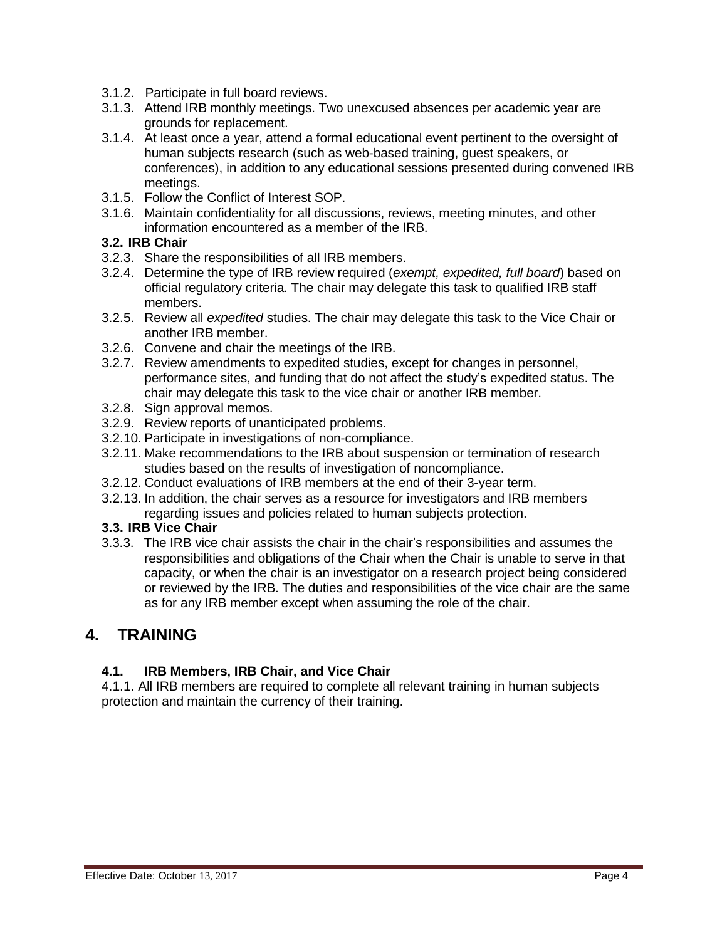- 3.1.2. Participate in full board reviews.
- 3.1.3. Attend IRB monthly meetings. Two unexcused absences per academic year are grounds for replacement.
- 3.1.4. At least once a year, attend a formal educational event pertinent to the oversight of human subjects research (such as web-based training, guest speakers, or conferences), in addition to any educational sessions presented during convened IRB meetings.
- 3.1.5. Follow the Conflict of Interest SOP.
- 3.1.6. Maintain confidentiality for all discussions, reviews, meeting minutes, and other information encountered as a member of the IRB.

#### **3.2. IRB Chair**

- 3.2.3. Share the responsibilities of all IRB members.
- 3.2.4. Determine the type of IRB review required (*exempt, expedited, full board*) based on official regulatory criteria. The chair may delegate this task to qualified IRB staff members.
- 3.2.5. Review all *expedited* studies. The chair may delegate this task to the Vice Chair or another IRB member.
- 3.2.6. Convene and chair the meetings of the IRB.
- 3.2.7. Review amendments to expedited studies, except for changes in personnel, performance sites, and funding that do not affect the study's expedited status. The chair may delegate this task to the vice chair or another IRB member.
- 3.2.8. Sign approval memos.
- 3.2.9. Review reports of unanticipated problems.
- 3.2.10. Participate in investigations of non-compliance.
- 3.2.11. Make recommendations to the IRB about suspension or termination of research studies based on the results of investigation of noncompliance.
- 3.2.12. Conduct evaluations of IRB members at the end of their 3-year term.
- 3.2.13. In addition, the chair serves as a resource for investigators and IRB members regarding issues and policies related to human subjects protection.

#### **3.3. IRB Vice Chair**

3.3.3. The IRB vice chair assists the chair in the chair's responsibilities and assumes the responsibilities and obligations of the Chair when the Chair is unable to serve in that capacity, or when the chair is an investigator on a research project being considered or reviewed by the IRB. The duties and responsibilities of the vice chair are the same as for any IRB member except when assuming the role of the chair.

## **4. TRAINING**

#### **4.1. IRB Members, IRB Chair, and Vice Chair**

4.1.1. All IRB members are required to complete all relevant training in human subjects protection and maintain the currency of their training.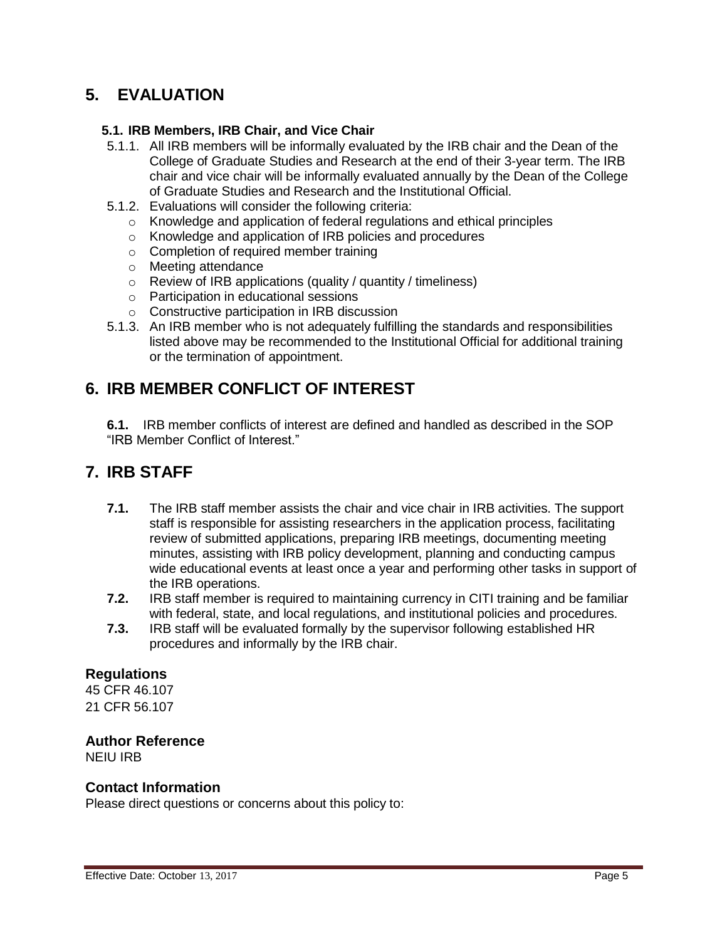# **5. EVALUATION**

#### **5.1. IRB Members, IRB Chair, and Vice Chair**

- 5.1.1. All IRB members will be informally evaluated by the IRB chair and the Dean of the College of Graduate Studies and Research at the end of their 3-year term. The IRB chair and vice chair will be informally evaluated annually by the Dean of the College of Graduate Studies and Research and the Institutional Official.
- 5.1.2. Evaluations will consider the following criteria:
	- o Knowledge and application of federal regulations and ethical principles
	- o Knowledge and application of IRB policies and procedures
	- o Completion of required member training
	- o Meeting attendance
	- o Review of IRB applications (quality / quantity / timeliness)
	- o Participation in educational sessions
	- o Constructive participation in IRB discussion
- 5.1.3. An IRB member who is not adequately fulfilling the standards and responsibilities listed above may be recommended to the Institutional Official for additional training or the termination of appointment.

### **6. IRB MEMBER CONFLICT OF INTEREST**

**6.1.** IRB member conflicts of interest are defined and handled as described in the SOP "IRB Member Conflict of Interest."

### **7. IRB STAFF**

- **7.1.** The IRB staff member assists the chair and vice chair in IRB activities. The support staff is responsible for assisting researchers in the application process, facilitating review of submitted applications, preparing IRB meetings, documenting meeting minutes, assisting with IRB policy development, planning and conducting campus wide educational events at least once a year and performing other tasks in support of the IRB operations.
- **7.2.** IRB staff member is required to maintaining currency in CITI training and be familiar with federal, state, and local regulations, and institutional policies and procedures.
- **7.3.** IRB staff will be evaluated formally by the supervisor following established HR procedures and informally by the IRB chair.

#### **Regulations**

45 CFR 46.107 21 CFR 56.107

#### **Author Reference**

NEIU IRB

#### **Contact Information**

Please direct questions or concerns about this policy to: